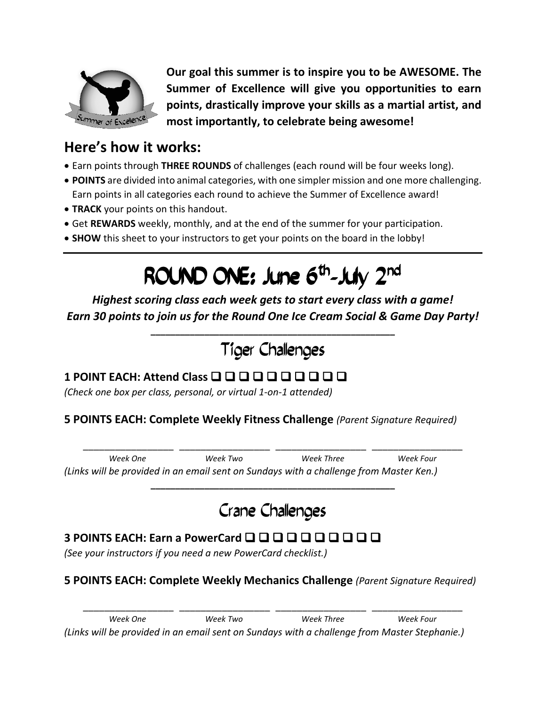

**Our goal this summer is to inspire you to be AWESOME. The Summer of Excellence will give you opportunities to earn points, drastically improve your skills as a martial artist, and most importantly, to celebrate being awesome!**

### **Here's how it works:**

- Earn points through **THREE ROUNDS** of challenges (each round will be four weeks long).
- **POINTS** are divided into animal categories, with one simpler mission and one more challenging. Earn points in all categories each round to achieve the Summer of Excellence award!
- **TRACK** your points on this handout.
- Get **REWARDS** weekly, monthly, and at the end of the summer for your participation.
- **SHOW** this sheet to your instructors to get your points on the board in the lobby!

# ROUND ONE: June 6<sup>th</sup>-July 2<sup>nd</sup>

*Highest scoring class each week gets to start every class with a game! Earn 30 points to join us for the Round One Ice Cream Social & Game Day Party!*

# Tiger Challenges

**\_\_\_\_\_\_\_\_\_\_\_\_\_\_\_\_\_\_\_\_\_\_\_\_\_\_\_\_\_\_\_\_\_\_\_\_\_\_\_\_\_\_\_\_\_\_\_\_\_\_**

### **1 POINT EACH: Attend Class**

*(Check one box per class, personal, or virtual 1-on-1 attended)*

#### **5 POINTS EACH: Complete Weekly Fitness Challenge** *(Parent Signature Required)*

\_\_\_\_\_\_\_\_\_\_\_\_\_\_\_\_\_ \_\_\_\_\_\_\_\_\_\_\_\_\_\_\_\_\_ \_\_\_\_\_\_\_\_\_\_\_\_\_\_\_\_\_ \_\_\_\_\_\_\_\_\_\_\_\_\_\_\_\_\_ *Week One Week Two Week Three Week Four (Links will be provided in an email sent on Sundays with a challenge from Master Ken.)*

# Crane Challenges

**\_\_\_\_\_\_\_\_\_\_\_\_\_\_\_\_\_\_\_\_\_\_\_\_\_\_\_\_\_\_\_\_\_\_\_\_\_\_\_\_\_\_\_\_\_\_\_\_\_\_**

### **3 POINTS EACH: Earn a PowerCard**

*(See your instructors if you need a new PowerCard checklist.)*

#### **5 POINTS EACH: Complete Weekly Mechanics Challenge** *(Parent Signature Required)*

\_\_\_\_\_\_\_\_\_\_\_\_\_\_\_\_\_ \_\_\_\_\_\_\_\_\_\_\_\_\_\_\_\_\_ \_\_\_\_\_\_\_\_\_\_\_\_\_\_\_\_\_ \_\_\_\_\_\_\_\_\_\_\_\_\_\_\_\_\_ *Week One Week Two Week Three Week Four (Links will be provided in an email sent on Sundays with a challenge from Master Stephanie.)*